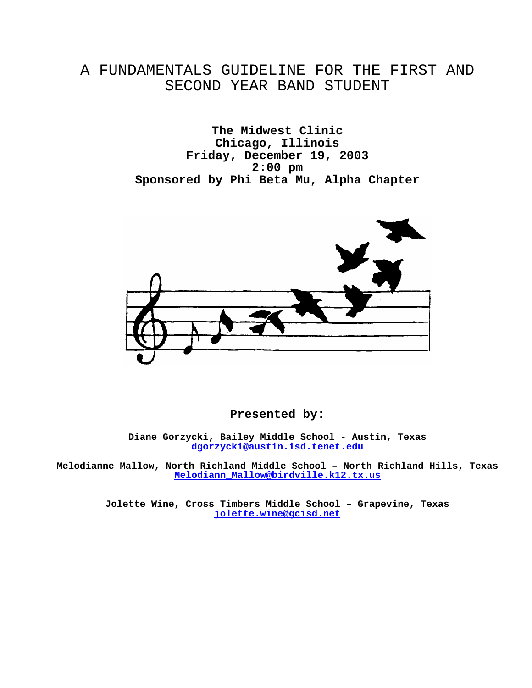### A FUNDAMENTALS GUIDELINE FOR THE FIRST AND SECOND YEAR BAND STUDENT

**The Midwest Clinic Chicago, Illinois Friday, December 19, 2003 2:00 pm Sponsored by Phi Beta Mu, Alpha Chapter** 



#### **Presented by:**

**Diane Gorzycki, Bailey Middle School - Austin, Texas dgorzycki@austin.isd.tenet.edu**

**Melodianne Mallow, North Richland Middle School – North Richland Hills, Texas Melodiann\_Mallow@birdville.k12.tx.us**

> **Jolette Wine, Cross Timbers Middle School – Grapevine, Texas jolette.wine@gcisd.net**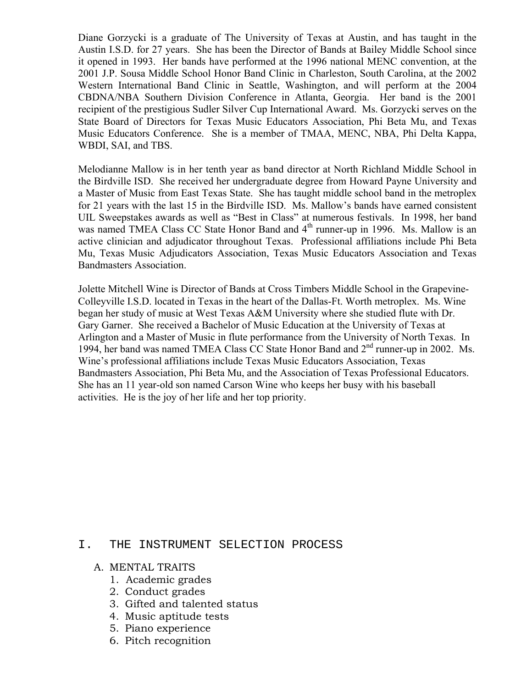Diane Gorzycki is a graduate of The University of Texas at Austin, and has taught in the Austin I.S.D. for 27 years. She has been the Director of Bands at Bailey Middle School since it opened in 1993. Her bands have performed at the 1996 national MENC convention, at the 2001 J.P. Sousa Middle School Honor Band Clinic in Charleston, South Carolina, at the 2002 Western International Band Clinic in Seattle, Washington, and will perform at the 2004 CBDNA/NBA Southern Division Conference in Atlanta, Georgia. Her band is the 2001 recipient of the prestigious Sudler Silver Cup International Award. Ms. Gorzycki serves on the State Board of Directors for Texas Music Educators Association, Phi Beta Mu, and Texas Music Educators Conference. She is a member of TMAA, MENC, NBA, Phi Delta Kappa, WBDI, SAI, and TBS.

Melodianne Mallow is in her tenth year as band director at North Richland Middle School in the Birdville ISD. She received her undergraduate degree from Howard Payne University and a Master of Music from East Texas State. She has taught middle school band in the metroplex for 21 years with the last 15 in the Birdville ISD. Ms. Mallow's bands have earned consistent UIL Sweepstakes awards as well as "Best in Class" at numerous festivals. In 1998, her band was named TMEA Class CC State Honor Band and 4<sup>th</sup> runner-up in 1996. Ms. Mallow is an active clinician and adjudicator throughout Texas. Professional affiliations include Phi Beta Mu, Texas Music Adjudicators Association, Texas Music Educators Association and Texas Bandmasters Association.

Jolette Mitchell Wine is Director of Bands at Cross Timbers Middle School in the Grapevine-Colleyville I.S.D. located in Texas in the heart of the Dallas-Ft. Worth metroplex. Ms. Wine began her study of music at West Texas A&M University where she studied flute with Dr. Gary Garner. She received a Bachelor of Music Education at the University of Texas at Arlington and a Master of Music in flute performance from the University of North Texas. In 1994, her band was named TMEA Class CC State Honor Band and  $2<sup>nd</sup>$  runner-up in 2002. Ms. Wine's professional affiliations include Texas Music Educators Association, Texas Bandmasters Association, Phi Beta Mu, and the Association of Texas Professional Educators. She has an 11 year-old son named Carson Wine who keeps her busy with his baseball activities. He is the joy of her life and her top priority.

#### I. THE INSTRUMENT SELECTION PROCESS

#### A. MENTAL TRAITS

- 1. Academic grades
- 2. Conduct grades
- 3. Gifted and talented status
- 4. Music aptitude tests
- 5. Piano experience
- 6. Pitch recognition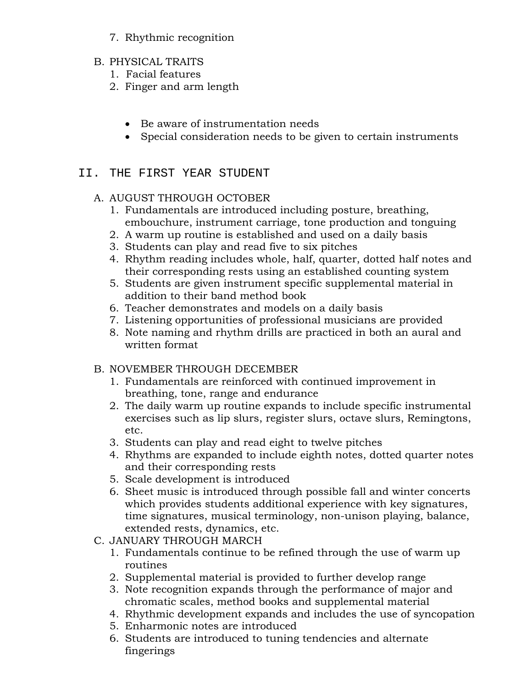- 7. Rhythmic recognition
- B. PHYSICAL TRAITS
	- 1. Facial features
	- 2. Finger and arm length
		- Be aware of instrumentation needs
		- Special consideration needs to be given to certain instruments

### II. THE FIRST YEAR STUDENT

#### A. AUGUST THROUGH OCTOBER

- 1. Fundamentals are introduced including posture, breathing, embouchure, instrument carriage, tone production and tonguing
- 2. A warm up routine is established and used on a daily basis
- 3. Students can play and read five to six pitches
- 4. Rhythm reading includes whole, half, quarter, dotted half notes and their corresponding rests using an established counting system
- 5. Students are given instrument specific supplemental material in addition to their band method book
- 6. Teacher demonstrates and models on a daily basis
- 7. Listening opportunities of professional musicians are provided
- 8. Note naming and rhythm drills are practiced in both an aural and written format

### B. NOVEMBER THROUGH DECEMBER

- 1. Fundamentals are reinforced with continued improvement in breathing, tone, range and endurance
- 2. The daily warm up routine expands to include specific instrumental exercises such as lip slurs, register slurs, octave slurs, Remingtons, etc.
- 3. Students can play and read eight to twelve pitches
- 4. Rhythms are expanded to include eighth notes, dotted quarter notes and their corresponding rests
- 5. Scale development is introduced
- 6. Sheet music is introduced through possible fall and winter concerts which provides students additional experience with key signatures, time signatures, musical terminology, non-unison playing, balance, extended rests, dynamics, etc.
- C. JANUARY THROUGH MARCH
	- 1. Fundamentals continue to be refined through the use of warm up routines
	- 2. Supplemental material is provided to further develop range
	- 3. Note recognition expands through the performance of major and chromatic scales, method books and supplemental material
	- 4. Rhythmic development expands and includes the use of syncopation
	- 5. Enharmonic notes are introduced
	- 6. Students are introduced to tuning tendencies and alternate fingerings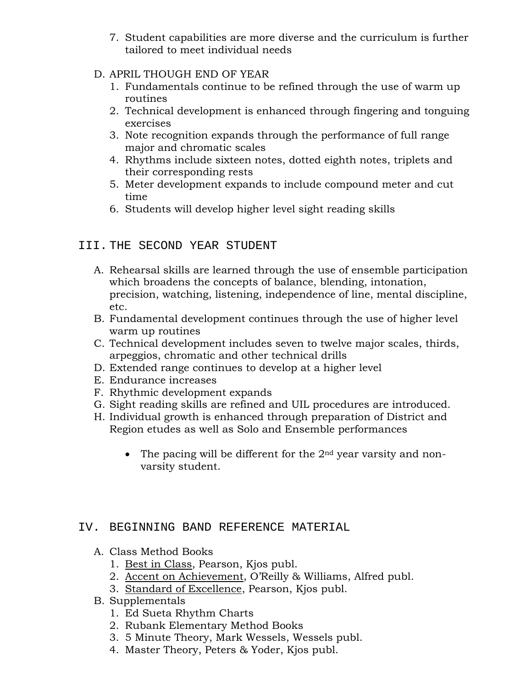- 7. Student capabilities are more diverse and the curriculum is further tailored to meet individual needs
- D. APRIL THOUGH END OF YEAR
	- 1. Fundamentals continue to be refined through the use of warm up routines
	- 2. Technical development is enhanced through fingering and tonguing exercises
	- 3. Note recognition expands through the performance of full range major and chromatic scales
	- 4. Rhythms include sixteen notes, dotted eighth notes, triplets and their corresponding rests
	- 5. Meter development expands to include compound meter and cut time
	- 6. Students will develop higher level sight reading skills

#### III. THE SECOND YEAR STUDENT

- A. Rehearsal skills are learned through the use of ensemble participation which broadens the concepts of balance, blending, intonation, precision, watching, listening, independence of line, mental discipline, etc.
- B. Fundamental development continues through the use of higher level warm up routines
- C. Technical development includes seven to twelve major scales, thirds, arpeggios, chromatic and other technical drills
- D. Extended range continues to develop at a higher level
- E. Endurance increases
- F. Rhythmic development expands
- G. Sight reading skills are refined and UIL procedures are introduced.
- H. Individual growth is enhanced through preparation of District and Region etudes as well as Solo and Ensemble performances
	- The pacing will be different for the  $2<sup>nd</sup>$  year varsity and nonvarsity student.

#### IV. BEGINNING BAND REFERENCE MATERIAL

- A. Class Method Books
	- 1. Best in Class, Pearson, Kjos publ.
	- 2. Accent on Achievement, O'Reilly & Williams, Alfred publ.
	- 3. Standard of Excellence, Pearson, Kjos publ.
- B. Supplementals
	- 1. Ed Sueta Rhythm Charts
	- 2. Rubank Elementary Method Books
	- 3. 5 Minute Theory, Mark Wessels, Wessels publ.
	- 4. Master Theory, Peters & Yoder, Kjos publ.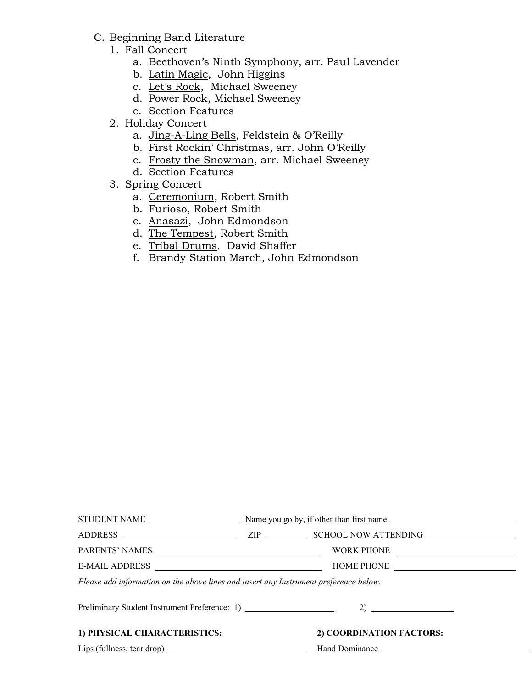- C. Beginning Band Literature
	- 1. Fall Concert
		- a. Beethoven's Ninth Symphony, arr. Paul Lavender
		- b. Latin Magic, John Higgins
		- c. Let's Rock, Michael Sweeney
		- d. Power Rock, Michael Sweeney
		- e. Section Features
	- 2. Holiday Concert
		- a. Jing-A-Ling Bells, Feldstein & O'Reilly
		- b. First Rockin' Christmas, arr. John O'Reilly
		- c. Frosty the Snowman, arr. Michael Sweeney
		- d. Section Features
	- 3. Spring Concert
		- a. Ceremonium, Robert Smith
		- b. Furioso, Robert Smith
		- c. Anasazi, John Edmondson
		- d. The Tempest, Robert Smith
		- e. Tribal Drums, David Shaffer
		- f. Brandy Station March, John Edmondson

| Please add information on the above lines and insert any Instrument preference below. |  |                          |  |  |  |
|---------------------------------------------------------------------------------------|--|--------------------------|--|--|--|
| Preliminary Student Instrument Preference: 1) __________________________________      |  |                          |  |  |  |
| 1) PHYSICAL CHARACTERISTICS:                                                          |  | 2) COORDINATION FACTORS: |  |  |  |
|                                                                                       |  |                          |  |  |  |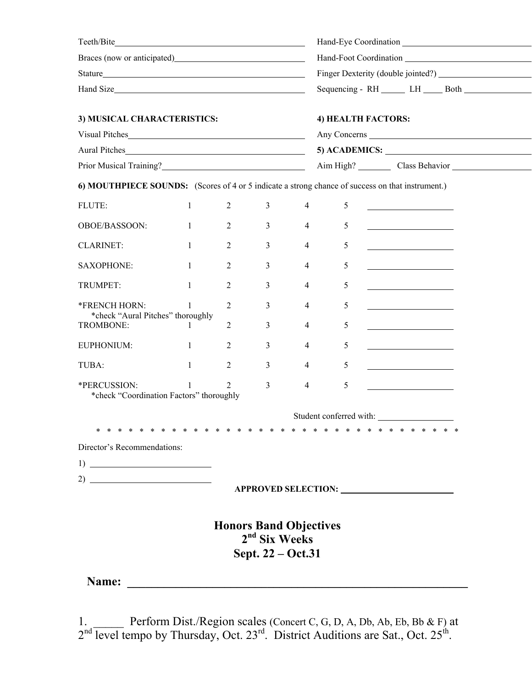| Braces (now or anticipated)<br><u>Example 2014</u>                                                                             |                                                            |                   |                |                    |                                                                                                  |  |  |
|--------------------------------------------------------------------------------------------------------------------------------|------------------------------------------------------------|-------------------|----------------|--------------------|--------------------------------------------------------------------------------------------------|--|--|
|                                                                                                                                |                                                            |                   |                |                    |                                                                                                  |  |  |
| Hand Size                                                                                                                      |                                                            |                   |                |                    |                                                                                                  |  |  |
| 3) MUSICAL CHARACTERISTICS:                                                                                                    |                                                            |                   |                | 4) HEALTH FACTORS: |                                                                                                  |  |  |
|                                                                                                                                |                                                            |                   |                |                    | Any Concerns                                                                                     |  |  |
| Aural Pitches                                                                                                                  |                                                            |                   |                |                    |                                                                                                  |  |  |
|                                                                                                                                |                                                            |                   |                |                    |                                                                                                  |  |  |
|                                                                                                                                |                                                            |                   |                |                    | 6) MOUTHPIECE SOUNDS: (Scores of 4 or 5 indicate a strong chance of success on that instrument.) |  |  |
| FLUTE:                                                                                                                         | 1                                                          | $\overline{2}$    | $\mathfrak{Z}$ | $\overline{4}$     | 5<br><u>and the companion of the companion of</u>                                                |  |  |
| OBOE/BASSOON:                                                                                                                  | $\mathbf{1}$                                               | $\overline{2}$    | $\mathfrak{Z}$ | $\overline{4}$     | 5                                                                                                |  |  |
| <b>CLARINET:</b>                                                                                                               | $\mathbf{1}$                                               | $\overline{2}$    | $\mathfrak{Z}$ | $\overline{4}$     | 5<br><u> 1989 - Johann Barbara, martin a</u>                                                     |  |  |
| <b>SAXOPHONE:</b>                                                                                                              | $\mathbf{1}$                                               | 2                 | 3              | $\overline{4}$     | 5                                                                                                |  |  |
| TRUMPET:                                                                                                                       | $\mathbf{1}$                                               | 2                 | 3              | 4                  | 5                                                                                                |  |  |
| *FRENCH HORN:<br>*check "Aural Pitches" thoroughly                                                                             |                                                            | 2                 | 3              | $\overline{4}$     | 5<br><u> 1989 - Johann Barn, mars et al. (</u>                                                   |  |  |
| TROMBONE:                                                                                                                      | 1                                                          | $\overline{2}$    | 3              | 4                  | 5<br><u> 1980 - John Stein, Amerikaansk politiker (</u>                                          |  |  |
| EUPHONIUM:                                                                                                                     | $\overline{1}$                                             | $\overline{2}$    | 3              | $\overline{4}$     | 5                                                                                                |  |  |
| TUBA:                                                                                                                          | $\mathbf{1}$                                               | $\overline{2}$    | 3              | $\overline{4}$     | 5<br><u> 1980 - Johann Barn, mars an t-Amerikaansk kommunister (</u>                             |  |  |
| *PERCUSSION:<br>*check "Coordination Factors" thoroughly                                                                       |                                                            | $\overline{2}$    | 3              | $\overline{4}$     | 5<br><u> 1989 - Johann Barbara, martin a</u>                                                     |  |  |
|                                                                                                                                |                                                            |                   |                |                    | Student conferred with:                                                                          |  |  |
|                                                                                                                                |                                                            |                   |                |                    |                                                                                                  |  |  |
| Director's Recommendations:                                                                                                    |                                                            |                   |                |                    |                                                                                                  |  |  |
| $\begin{tabular}{c} 1) \end{tabular}$                                                                                          |                                                            |                   |                |                    |                                                                                                  |  |  |
|                                                                                                                                |                                                            |                   |                |                    |                                                                                                  |  |  |
|                                                                                                                                |                                                            |                   |                |                    |                                                                                                  |  |  |
|                                                                                                                                | <b>Honors Band Objectives</b><br>2 <sup>nd</sup> Six Weeks |                   |                |                    |                                                                                                  |  |  |
|                                                                                                                                |                                                            | Sept. 22 - Oct.31 |                |                    |                                                                                                  |  |  |
| Name:<br><u> 1980 - Andrea Andrew Maria a British a tsara a tsara a tsara a tsara a tsara a tsara a tsara a tsara a tsara </u> |                                                            |                   |                |                    |                                                                                                  |  |  |
|                                                                                                                                |                                                            |                   |                |                    |                                                                                                  |  |  |
|                                                                                                                                |                                                            |                   |                |                    |                                                                                                  |  |  |

1. \_\_\_\_\_ Perform Dist./Region scales (Concert C, G, D, A, Db, Ab, Eb, Bb & F) at  $2<sup>nd</sup>$  level tempo by Thursday, Oct. 23<sup>rd</sup>. District Auditions are Sat., Oct. 25<sup>th</sup>.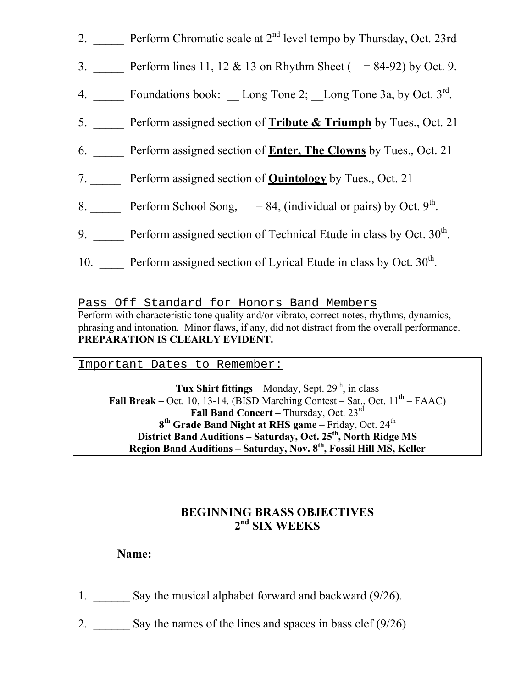- 2. \_\_\_\_\_ Perform Chromatic scale at 2<sup>nd</sup> level tempo by Thursday, Oct. 23rd
- 3. Perform lines 11, 12 & 13 on Rhythm Sheet ( = 84-92) by Oct. 9.
- 4. Foundations book: Long Tone 2; Long Tone 3a, by Oct.  $3^{\text{rd}}$ .
- 5. \_\_\_\_\_ Perform assigned section of **Tribute & Triumph** by Tues., Oct. 21
- 6. \_\_\_\_\_ Perform assigned section of **Enter, The Clowns** by Tues., Oct. 21
- 7. \_\_\_\_\_ Perform assigned section of **Quintology** by Tues., Oct. 21
- 8. Perform School Song,  $= 84$ , (individual or pairs) by Oct. 9<sup>th</sup>.
- 9.  $\blacksquare$  Perform assigned section of Technical Etude in class by Oct. 30<sup>th</sup>.
- 10.  $\_\_\_\_\$  Perform assigned section of Lyrical Etude in class by Oct. 30<sup>th</sup>.

Pass Off Standard for Honors Band Members Perform with characteristic tone quality and/or vibrato, correct notes, rhythms, dynamics, phrasing and intonation. Minor flaws, if any, did not distract from the overall performance. **PREPARATION IS CLEARLY EVIDENT.** 

Important Dates to Remember:

**Tux Shirt fittings** – Monday, Sept.  $29<sup>th</sup>$ , in class **Fall Break** – Oct. 10, 13-14. (BISD Marching Contest – Sat., Oct.  $11<sup>th</sup>$  – FAAC) **Fall Band Concert – Thursday, Oct. 23rd** 8<sup>th</sup> Grade Band Night at RHS game – Friday, Oct. 24<sup>th</sup> **District Band Auditions – Saturday, Oct. 25th, North Ridge MS Region Band Auditions – Saturday, Nov. 8th, Fossil Hill MS, Keller** 

## **BEGINNING BRASS OBJECTIVES 2nd SIX WEEKS**

Name:

- 1. Say the musical alphabet forward and backward  $(9/26)$ .
- 2. Say the names of the lines and spaces in bass clef  $(9/26)$